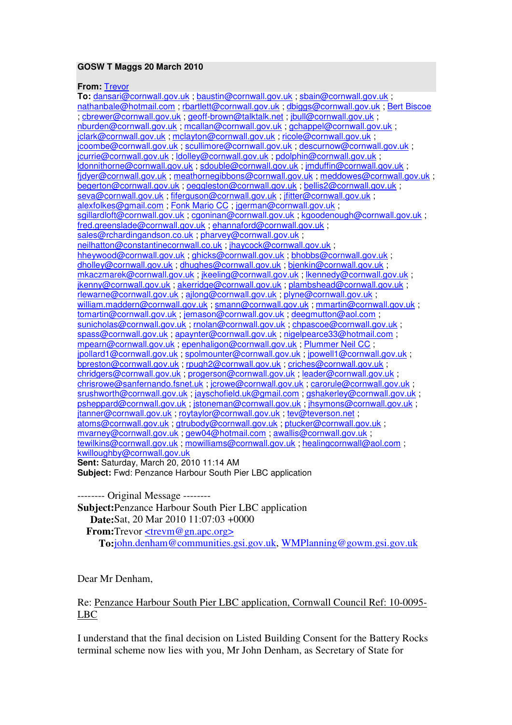## **GOSW T Maggs 20 March 2010**

## **From:** Trevor

**To:** dansari@cornwall.gov.uk ; baustin@cornwall.gov.uk ; sbain@cornwall.gov.uk ; nathanbale@hotmail.com ; rbartlett@cornwall.gov.uk ; dbiggs@cornwall.gov.uk ; Bert Biscoe ; cbrewer@cornwall.gov.uk ; geoff-brown@talktalk.net ; jbull@cornwall.gov.uk ; nburden@cornwall.gov.uk ; mcallan@cornwall.gov.uk ; gchappel@cornwall.gov.uk ; jclark@cornwall.gov.uk ; mclayton@cornwall.gov.uk ; ricole@cornwall.gov.uk ; jcoombe@cornwall.gov.uk ; scullimore@cornwall.gov.uk ; descurnow@cornwall.gov.uk ; jcurrie@cornwall.gov.uk ; ldolley@cornwall.gov.uk ; pdolphin@cornwall.gov.uk ; ldonnithorne@cornwall.gov.uk ; sdouble@cornwall.gov.uk ; jmduffin@cornwall.gov.uk ; fjdyer@cornwall.gov.uk ; meathornegibbons@cornwall.gov.uk ; meddowes@cornwall.gov.uk ; begerton@cornwall.gov.uk ; oeggleston@cornwall.gov.uk ; bellis2@cornwall.gov.uk ; seva@cornwall.gov.uk ; fiferguson@cornwall.gov.uk ; jfitter@cornwall.gov.uk ; alexfolkes@gmail.com ; Fonk Mario CC ; jgerman@cornwall.gov.uk ; sgillardloft@cornwall.gov.uk ; cgoninan@cornwall.gov.uk ; kgoodenough@cornwall.gov.uk ; fred.greenslade@cornwall.gov.uk ; ehannaford@cornwall.gov.uk ; sales@rchardingandson.co.uk ; pharvey@cornwall.gov.uk ; neilhatton@constantinecornwall.co.uk ; jhaycock@cornwall.gov.uk ; hheywood@cornwall.gov.uk ; ghicks@cornwall.gov.uk ; bhobbs@cornwall.gov.uk ; dholley@cornwall.gov.uk ; dhughes@cornwall.gov.uk ; bjenkin@cornwall.gov.uk ; mkaczmarek@cornwall.gov.uk ; jkeeling@cornwall.gov.uk ; lkennedy@cornwall.gov.uk ; jkenny@cornwall.gov.uk ; akerridge@cornwall.gov.uk ; plambshead@cornwall.gov.uk ; rlewarne@cornwall.gov.uk ; ajlong@cornwall.gov.uk ; plyne@cornwall.gov.uk ; william.maddern@cornwall.gov.uk ; smann@cornwall.gov.uk ; mmartin@cornwall.gov.uk ; tomartin@cornwall.gov.uk ; jemason@cornwall.gov.uk ; deegmutton@aol.com ; sunicholas@cornwall.gov.uk; rnolan@cornwall.gov.uk; chpascoe@cornwall.gov.uk; spass@cornwall.gov.uk; apaynter@cornwall.gov.uk; nigelpearce33@hotmail.com; mpearn@cornwall.gov.uk ; epenhaligon@cornwall.gov.uk ; Plummer Neil CC ; jpollard1@cornwall.gov.uk ; spolmounter@cornwall.gov.uk ; jpowell1@cornwall.gov.uk ; bpreston@cornwall.gov.uk ; rpugh2@cornwall.gov.uk ; criches@cornwall.gov.uk ; chridgers@cornwall.gov.uk ; progerson@cornwall.gov.uk ; leader@cornwall.gov.uk ; chrisrowe@sanfernando.fsnet.uk ; jcrowe@cornwall.gov.uk ; carorule@cornwall.gov.uk ; srushworth@cornwall.gov.uk : jayschofield.uk@gmail.com : gshakerley@cornwall.gov.uk : psheppard@cornwall.gov.uk ; jstoneman@cornwall.gov.uk ; jhsymons@cornwall.gov.uk ; jtanner@cornwall.gov.uk ; roytaylor@cornwall.gov.uk ; tev@teverson.net ; atoms@cornwall.gov.uk ; gtrubody@cornwall.gov.uk ; ptucker@cornwall.gov.uk ; mvarney@cornwall.gov.uk ; gew04@hotmail.com ; awallis@cornwall.gov.uk ; tewilkins@cornwall.gov.uk ; mowilliams@cornwall.gov.uk ; healingcornwall@aol.com ; kwilloughby@cornwall.gov.uk **Sent:** Saturday, March 20, 2010 11:14 AM **Subject:** Fwd: Penzance Harbour South Pier LBC application

-------- Original Message -------- **Subject: Penzance Harbour South Pier LBC application Date:** Sat, 20 Mar 2010 11:07:03 +0000 **From:** Trevor <trevm@gn.apc.org> **To:** john.denham@communities.gsi.gov.uk, WMPlanning@gowm.gsi.gov.uk

Dear Mr Denham,

## Re: Penzance Harbour South Pier LBC application, Cornwall Council Ref: 10-0095- LBC

I understand that the final decision on Listed Building Consent for the Battery Rocks terminal scheme now lies with you, Mr John Denham, as Secretary of State for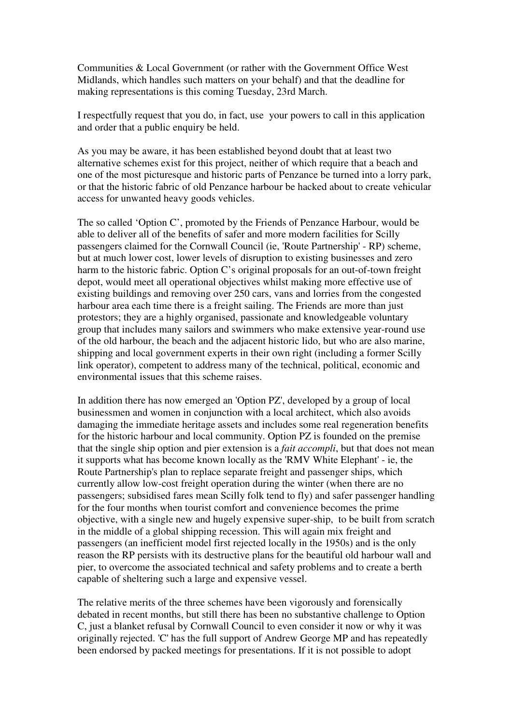Communities & Local Government (or rather with the Government Office West Midlands, which handles such matters on your behalf) and that the deadline for making representations is this coming Tuesday, 23rd March.

I respectfully request that you do, in fact, use your powers to call in this application and order that a public enquiry be held.

As you may be aware, it has been established beyond doubt that at least two alternative schemes exist for this project, neither of which require that a beach and one of the most picturesque and historic parts of Penzance be turned into a lorry park, or that the historic fabric of old Penzance harbour be hacked about to create vehicular access for unwanted heavy goods vehicles.

The so called 'Option C', promoted by the Friends of Penzance Harbour, would be able to deliver all of the benefits of safer and more modern facilities for Scilly passengers claimed for the Cornwall Council (ie, 'Route Partnership' - RP) scheme, but at much lower cost, lower levels of disruption to existing businesses and zero harm to the historic fabric. Option C's original proposals for an out-of-town freight depot, would meet all operational objectives whilst making more effective use of existing buildings and removing over 250 cars, vans and lorries from the congested harbour area each time there is a freight sailing. The Friends are more than just protestors; they are a highly organised, passionate and knowledgeable voluntary group that includes many sailors and swimmers who make extensive year-round use of the old harbour, the beach and the adjacent historic lido, but who are also marine, shipping and local government experts in their own right (including a former Scilly link operator), competent to address many of the technical, political, economic and environmental issues that this scheme raises.

In addition there has now emerged an 'Option PZ', developed by a group of local businessmen and women in conjunction with a local architect, which also avoids damaging the immediate heritage assets and includes some real regeneration benefits for the historic harbour and local community. Option PZ is founded on the premise that the single ship option and pier extension is a *fait accompli*, but that does not mean it supports what has become known locally as the 'RMV White Elephant' - ie, the Route Partnership's plan to replace separate freight and passenger ships, which currently allow low-cost freight operation during the winter (when there are no passengers; subsidised fares mean Scilly folk tend to fly) and safer passenger handling for the four months when tourist comfort and convenience becomes the prime objective, with a single new and hugely expensive super-ship, to be built from scratch in the middle of a global shipping recession. This will again mix freight and passengers (an inefficient model first rejected locally in the 1950s) and is the only reason the RP persists with its destructive plans for the beautiful old harbour wall and pier, to overcome the associated technical and safety problems and to create a berth capable of sheltering such a large and expensive vessel.

The relative merits of the three schemes have been vigorously and forensically debated in recent months, but still there has been no substantive challenge to Option C, just a blanket refusal by Cornwall Council to even consider it now or why it was originally rejected. 'C' has the full support of Andrew George MP and has repeatedly been endorsed by packed meetings for presentations. If it is not possible to adopt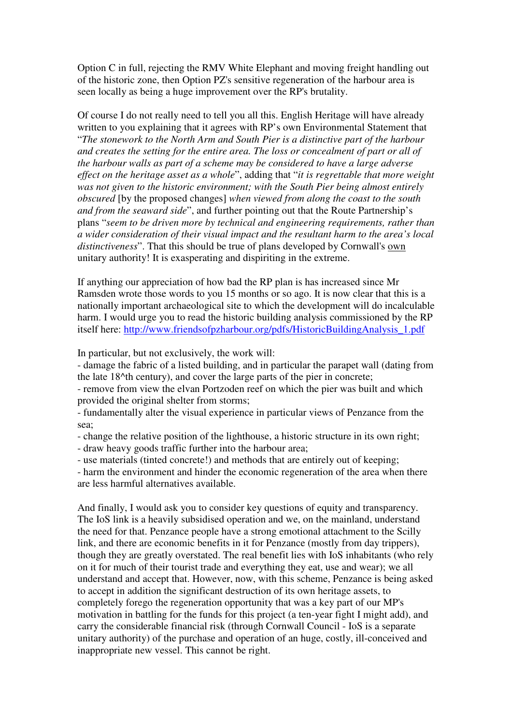Option C in full, rejecting the RMV White Elephant and moving freight handling out of the historic zone, then Option PZ's sensitive regeneration of the harbour area is seen locally as being a huge improvement over the RP's brutality.

Of course I do not really need to tell you all this. English Heritage will have already written to you explaining that it agrees with RP's own Environmental Statement that "*The stonework to the North Arm and South Pier is a distinctive part of the harbour and creates the setting for the entire area. The loss or concealment of part or all of the harbour walls as part of a scheme may be considered to have a large adverse effect on the heritage asset as a whole*", adding that "*it is regrettable that more weight was not given to the historic environment; with the South Pier being almost entirely obscured* [by the proposed changes] *when viewed from along the coast to the south and from the seaward side*", and further pointing out that the Route Partnership's plans "*seem to be driven more by technical and engineering requirements, rather than a wider consideration of their visual impact and the resultant harm to the area's local distinctiveness*". That this should be true of plans developed by Cornwall's own unitary authority! It is exasperating and dispiriting in the extreme.

If anything our appreciation of how bad the RP plan is has increased since Mr Ramsden wrote those words to you 15 months or so ago. It is now clear that this is a nationally important archaeological site to which the development will do incalculable harm. I would urge you to read the historic building analysis commissioned by the RP itself here: http://www.friendsofpzharbour.org/pdfs/HistoricBuildingAnalysis\_1.pdf

In particular, but not exclusively, the work will:

- damage the fabric of a listed building, and in particular the parapet wall (dating from the late 18^th century), and cover the large parts of the pier in concrete;

- remove from view the elvan Portzoden reef on which the pier was built and which provided the original shelter from storms;

- fundamentally alter the visual experience in particular views of Penzance from the sea;

- change the relative position of the lighthouse, a historic structure in its own right;

- draw heavy goods traffic further into the harbour area;

- use materials (tinted concrete!) and methods that are entirely out of keeping;

- harm the environment and hinder the economic regeneration of the area when there are less harmful alternatives available.

And finally, I would ask you to consider key questions of equity and transparency. The IoS link is a heavily subsidised operation and we, on the mainland, understand the need for that. Penzance people have a strong emotional attachment to the Scilly link, and there are economic benefits in it for Penzance (mostly from day trippers), though they are greatly overstated. The real benefit lies with IoS inhabitants (who rely on it for much of their tourist trade and everything they eat, use and wear); we all understand and accept that. However, now, with this scheme, Penzance is being asked to accept in addition the significant destruction of its own heritage assets, to completely forego the regeneration opportunity that was a key part of our MP's motivation in battling for the funds for this project (a ten-year fight I might add), and carry the considerable financial risk (through Cornwall Council - IoS is a separate unitary authority) of the purchase and operation of an huge, costly, ill-conceived and inappropriate new vessel. This cannot be right.